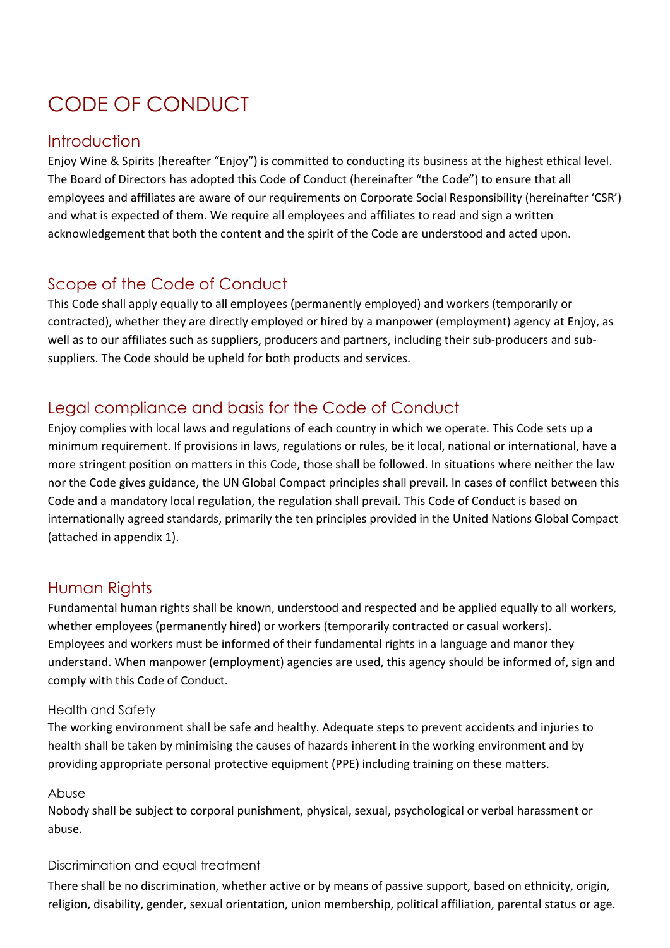# CODE OF CONDUCT

### **Introduction**

Enjoy Wine & Spirits (hereafter "Enjoy") is committed to conducting its business at the highest ethical level. The Board of Directors has adopted this Code of Conduct (hereinafter "the Code") to ensure that all employees and affiliates are aware of our requirements on Corporate Social Responsibility (hereinafter 'CSR') and what is expected of them. We require all employees and affiliates to read and sign a written acknowledgement that both the content and the spirit of the Code are understood and acted upon.

# Scope of the Code of Conduct

This Code shall apply equally to all employees (permanently employed) and workers (temporarily or contracted), whether they are directly employed or hired by a manpower (employment) agency at Enjoy, as well as to our affiliates such as suppliers, producers and partners, including their sub-producers and subsuppliers. The Code should be upheld for both products and services.

# Legal compliance and basis for the Code of Conduct

Enjoy complies with local laws and regulations of each country in which we operate. This Code sets up a minimum requirement. If provisions in laws, regulations or rules, be it local, national or international, have a more stringent position on matters in this Code, those shall be followed. In situations where neither the law nor the Code gives guidance, the UN Global Compact principles shall prevail. In cases of conflict between this Code and a mandatory local regulation, the regulation shall prevail. This Code of Conduct is based on internationally agreed standards, primarily the ten principles provided in the United Nations Global Compact (attached in appendix 1).

# Human Rights

Fundamental human rights shall be known, understood and respected and be applied equally to all workers, whether employees (permanently hired) or workers (temporarily contracted or casual workers). Employees and workers must be informed of their fundamental rights in a language and manor they understand. When manpower (employment) agencies are used, this agency should be informed of, sign and comply with this Code of Conduct.

#### Health and Safety

The working environment shall be safe and healthy. Adequate steps to prevent accidents and injuries to health shall be taken by minimising the causes of hazards inherent in the working environment and by providing appropriate personal protective equipment (PPE) including training on these matters.

#### Abuse

Nobody shall be subject to corporal punishment, physical, sexual, psychological or verbal harassment or abuse.

#### Discrimination and equal treatment

There shall be no discrimination, whether active or by means of passive support, based on ethnicity, origin, religion, disability, gender, sexual orientation, union membership, political affiliation, parental status or age.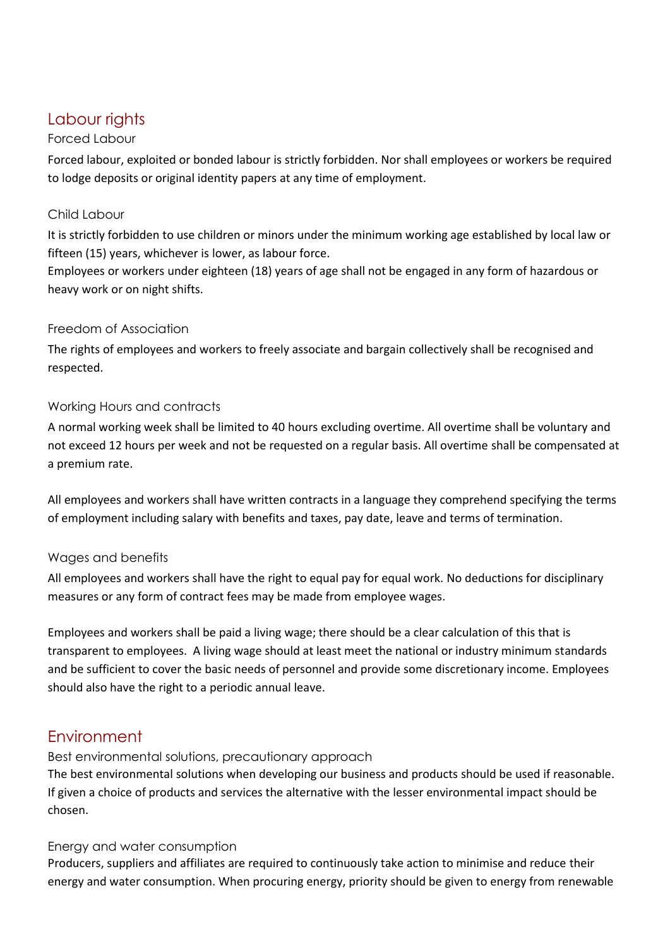# Labour rights

### Forced Labour

Forced labour, exploited or bonded labour is strictly forbidden. Nor shall employees or workers be required to lodge deposits or original identity papers at any time of employment.

#### Child Labour

It is strictly forbidden to use children or minors under the minimum working age established by local law or fifteen (15) years, whichever is lower, as labour force.

Employees or workers under eighteen (18) years of age shall not be engaged in any form of hazardous or heavy work or on night shifts.

### Freedom of Association

The rights of employees and workers to freely associate and bargain collectively shall be recognised and respected.

### Working Hours and contracts

A normal working week shall be limited to 40 hours excluding overtime. All overtime shall be voluntary and not exceed 12 hours per week and not be requested on a regular basis. All overtime shall be compensated at a premium rate.

All employees and workers shall have written contracts in a language they comprehend specifying the terms of employment including salary with benefits and taxes, pay date, leave and terms of termination.

#### Wages and benefits

All employees and workers shall have the right to equal pay for equal work. No deductions for disciplinary measures or any form of contract fees may be made from employee wages.

Employees and workers shall be paid a living wage; there should be a clear calculation of this that is transparent to employees. A living wage should at least meet the national or industry minimum standards and be sufficient to cover the basic needs of personnel and provide some discretionary income. Employees should also have the right to a periodic annual leave.

### **Environment**

#### Best environmental solutions, precautionary approach

The best environmental solutions when developing our business and products should be used if reasonable. If given a choice of products and services the alternative with the lesser environmental impact should be chosen.

#### Energy and water consumption

Producers, suppliers and affiliates are required to continuously take action to minimise and reduce their energy and water consumption. When procuring energy, priority should be given to energy from renewable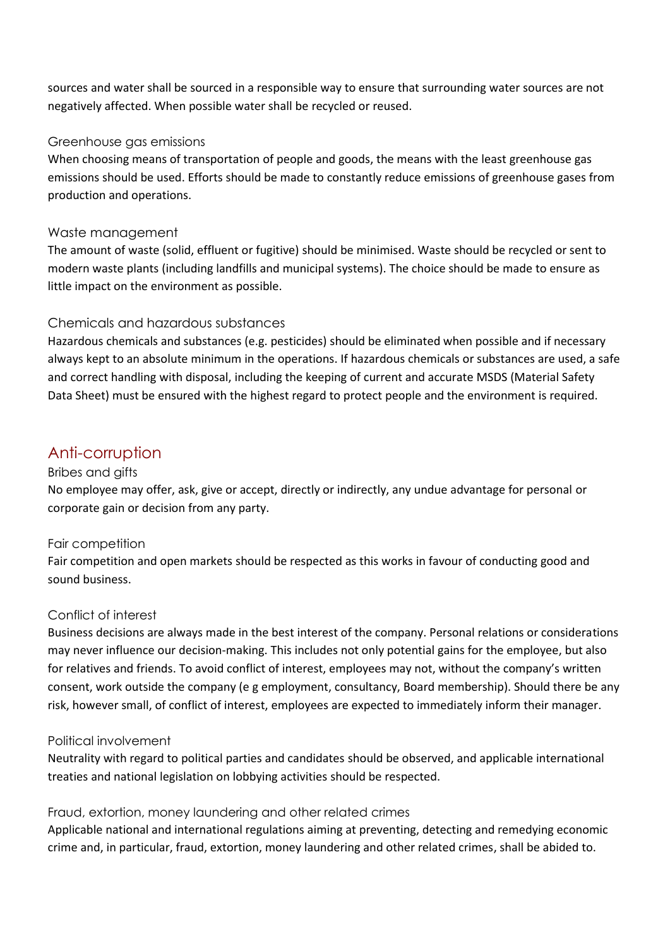sources and water shall be sourced in a responsible way to ensure that surrounding water sources are not negatively affected. When possible water shall be recycled or reused.

#### Greenhouse gas emissions

When choosing means of transportation of people and goods, the means with the least greenhouse gas emissions should be used. Efforts should be made to constantly reduce emissions of greenhouse gases from production and operations.

#### Waste management

The amount of waste (solid, effluent or fugitive) should be minimised. Waste should be recycled or sent to modern waste plants (including landfills and municipal systems). The choice should be made to ensure as little impact on the environment as possible.

#### Chemicals and hazardous substances

Hazardous chemicals and substances (e.g. pesticides) should be eliminated when possible and if necessary always kept to an absolute minimum in the operations. If hazardous chemicals or substances are used, a safe and correct handling with disposal, including the keeping of current and accurate MSDS (Material Safety Data Sheet) must be ensured with the highest regard to protect people and the environment is required.

### Anti-corruption

#### Bribes and gifts

No employee may offer, ask, give or accept, directly or indirectly, any undue advantage for personal or corporate gain or decision from any party.

#### Fair competition

Fair competition and open markets should be respected as this works in favour of conducting good and sound business.

#### Conflict of interest

Business decisions are always made in the best interest of the company. Personal relations or considerations may never influence our decision-making. This includes not only potential gains for the employee, but also for relatives and friends. To avoid conflict of interest, employees may not, without the company's written consent, work outside the company (e g employment, consultancy, Board membership). Should there be any risk, however small, of conflict of interest, employees are expected to immediately inform their manager.

#### Political involvement

Neutrality with regard to political parties and candidates should be observed, and applicable international treaties and national legislation on lobbying activities should be respected.

#### Fraud, extortion, money laundering and other related crimes

Applicable national and international regulations aiming at preventing, detecting and remedying economic crime and, in particular, fraud, extortion, money laundering and other related crimes, shall be abided to.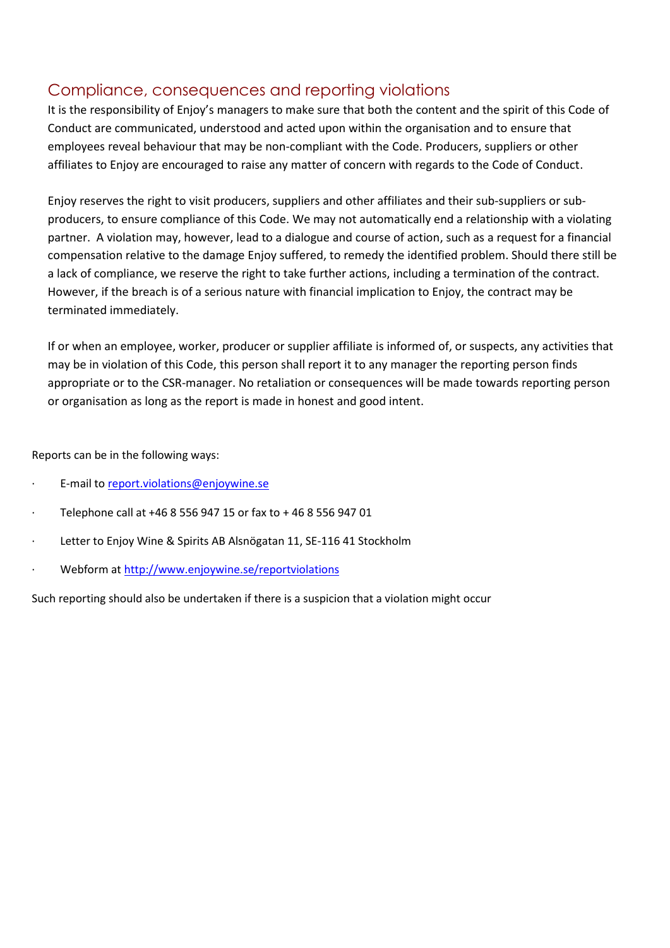# Compliance, consequences and reporting violations

It is the responsibility of Enjoy's managers to make sure that both the content and the spirit of this Code of Conduct are communicated, understood and acted upon within the organisation and to ensure that employees reveal behaviour that may be non-compliant with the Code. Producers, suppliers or other affiliates to Enjoy are encouraged to raise any matter of concern with regards to the Code of Conduct.

Enjoy reserves the right to visit producers, suppliers and other affiliates and their sub-suppliers or subproducers, to ensure compliance of this Code. We may not automatically end a relationship with a violating partner. A violation may, however, lead to a dialogue and course of action, such as a request for a financial compensation relative to the damage Enjoy suffered, to remedy the identified problem. Should there still be a lack of compliance, we reserve the right to take further actions, including a termination of the contract. However, if the breach is of a serious nature with financial implication to Enjoy, the contract may be terminated immediately.

If or when an employee, worker, producer or supplier affiliate is informed of, or suspects, any activities that may be in violation of this Code, this person shall report it to any manager the reporting person finds appropriate or to the CSR-manager. No retaliation or consequences will be made towards reporting person or organisation as long as the report is made in honest and good intent.

Reports can be in the following ways:

- E-mail to [report.violations@enjoywine.se](mailto:report.violations@enjoywine.se)
- · Telephone call at +46 8 556 947 15 or fax to + 46 8 556 947 01
- Letter to Enjoy Wine & Spirits AB Alsnögatan 11, SE-116 41 Stockholm
- Webform at <http://www.enjoywine.se/reportviolations>

Such reporting should also be undertaken if there is a suspicion that a violation might occur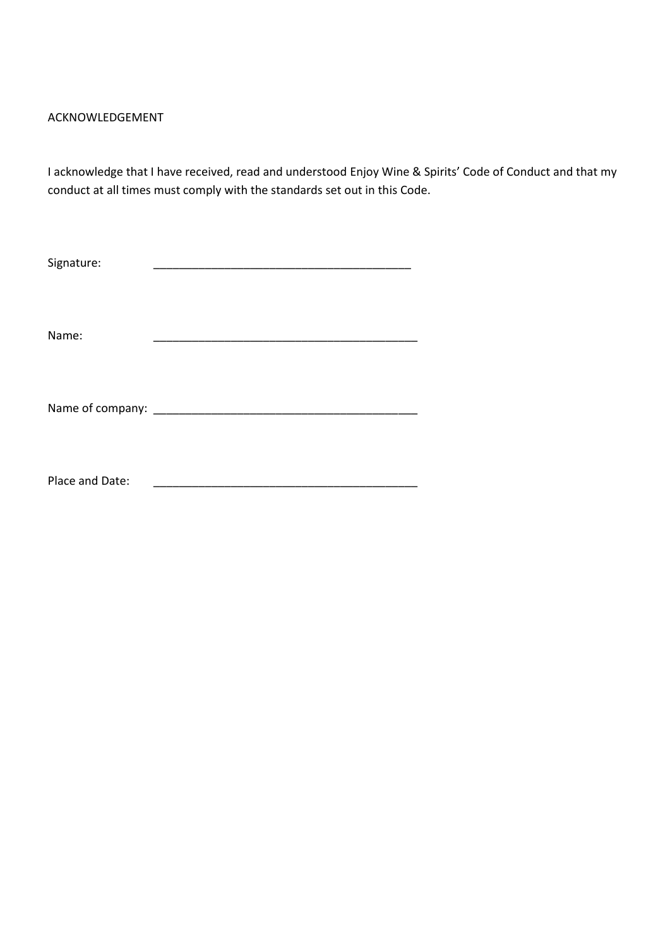#### ACKNOWLEDGEMENT

I acknowledge that I have received, read and understood Enjoy Wine & Spirits' Code of Conduct and that my conduct at all times must comply with the standards set out in this Code.

| Signature:      |  |
|-----------------|--|
|                 |  |
| Name:           |  |
|                 |  |
|                 |  |
|                 |  |
| Place and Date: |  |